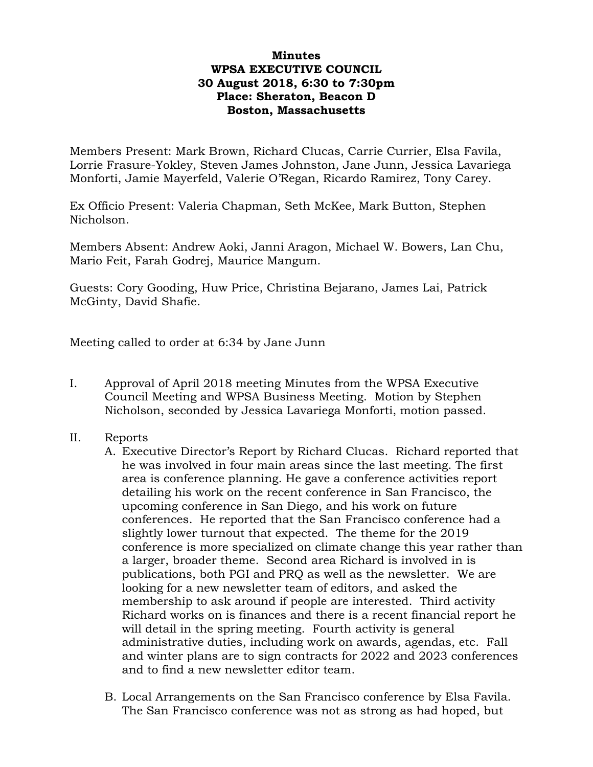## **Minutes WPSA EXECUTIVE COUNCIL 30 August 2018, 6:30 to 7:30pm Place: Sheraton, Beacon D Boston, Massachusetts**

Members Present: Mark Brown, Richard Clucas, Carrie Currier, Elsa Favila, Lorrie Frasure-Yokley, Steven James Johnston, Jane Junn, Jessica Lavariega Monforti, Jamie Mayerfeld, Valerie O'Regan, Ricardo Ramirez, Tony Carey.

Ex Officio Present: Valeria Chapman, Seth McKee, Mark Button, Stephen Nicholson.

Members Absent: Andrew Aoki, Janni Aragon, Michael W. Bowers, Lan Chu, Mario Feit, Farah Godrej, Maurice Mangum.

Guests: Cory Gooding, Huw Price, Christina Bejarano, James Lai, Patrick McGinty, David Shafie.

Meeting called to order at 6:34 by Jane Junn

- I. Approval of April 2018 meeting Minutes from the WPSA Executive Council Meeting and WPSA Business Meeting. Motion by Stephen Nicholson, seconded by Jessica Lavariega Monforti, motion passed.
- II. Reports
	- A. Executive Director's Report by Richard Clucas. Richard reported that he was involved in four main areas since the last meeting. The first area is conference planning. He gave a conference activities report detailing his work on the recent conference in San Francisco, the upcoming conference in San Diego, and his work on future conferences. He reported that the San Francisco conference had a slightly lower turnout that expected. The theme for the 2019 conference is more specialized on climate change this year rather than a larger, broader theme. Second area Richard is involved in is publications, both PGI and PRQ as well as the newsletter. We are looking for a new newsletter team of editors, and asked the membership to ask around if people are interested. Third activity Richard works on is finances and there is a recent financial report he will detail in the spring meeting. Fourth activity is general administrative duties, including work on awards, agendas, etc. Fall and winter plans are to sign contracts for 2022 and 2023 conferences and to find a new newsletter editor team.
	- B. Local Arrangements on the San Francisco conference by Elsa Favila. The San Francisco conference was not as strong as had hoped, but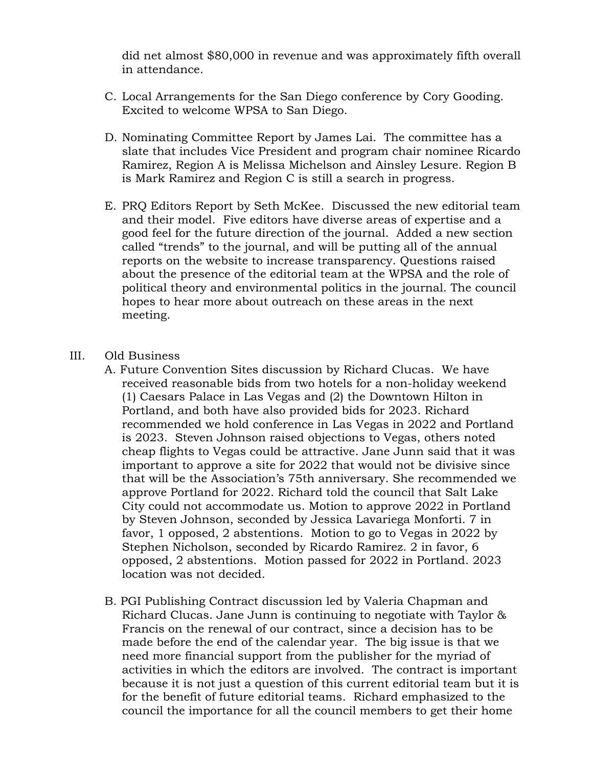did net almost \$80,000 in revenue and was approximately fifth overall in attendance.

- C. Local Arrangements for the San Diego conference by Cory Gooding. Excited to welcome WPSA to San Diego.
- D. Nominating Committee Report by James Lai. The committee has a slate that includes Vice President and program chair nominee Ricardo Ramirez, Region A is Melissa Michelson and Ainsley Lesure. Region B is Mark Ramirez and Region C is still a search in progress.
- E. PRQ Editors Report by Seth McKee. Discussed the new editorial team and their model. Five editors have diverse areas of expertise and a good feel for the future direction of the journal. Added a new section called "trends" to the journal, and will be putting all of the annual reports on the website to increase transparency. Questions raised about the presence of the editorial team at the WPSA and the role of political theory and environmental politics in the journal. The council hopes to hear more about outreach on these areas in the next meeting.

## III. Old Business

- A. Future Convention Sites discussion by Richard Clucas. We have received reasonable bids from two hotels for a non-holiday weekend (1) Caesars Palace in Las Vegas and (2) the Downtown Hilton in Portland, and both have also provided bids for 2023. Richard recommended we hold conference in Las Vegas in 2022 and Portland is 2023. Steven Johnson raised objections to Vegas, others noted cheap flights to Vegas could be attractive. Jane Junn said that it was important to approve a site for 2022 that would not be divisive since that will be the Association's 75th anniversary. She recommended we approve Portland for 2022. Richard told the council that Salt Lake City could not accommodate us. Motion to approve 2022 in Portland by Steven Johnson, seconded by Jessica Lavariega Monforti. 7 in favor, 1 opposed, 2 abstentions. Motion to go to Vegas in 2022 by Stephen Nicholson, seconded by Ricardo Ramirez. 2 in favor, 6 opposed, 2 abstentions. Motion passed for 2022 in Portland. 2023 location was not decided.
- B. PGI Publishing Contract discussion led by Valeria Chapman and Richard Clucas. Jane Junn is continuing to negotiate with Taylor & Francis on the renewal of our contract, since a decision has to be made before the end of the calendar year. The big issue is that we need more financial support from the publisher for the myriad of activities in which the editors are involved. The contract is important because it is not just a question of this current editorial team but it is for the benefit of future editorial teams. Richard emphasized to the council the importance for all the council members to get their home